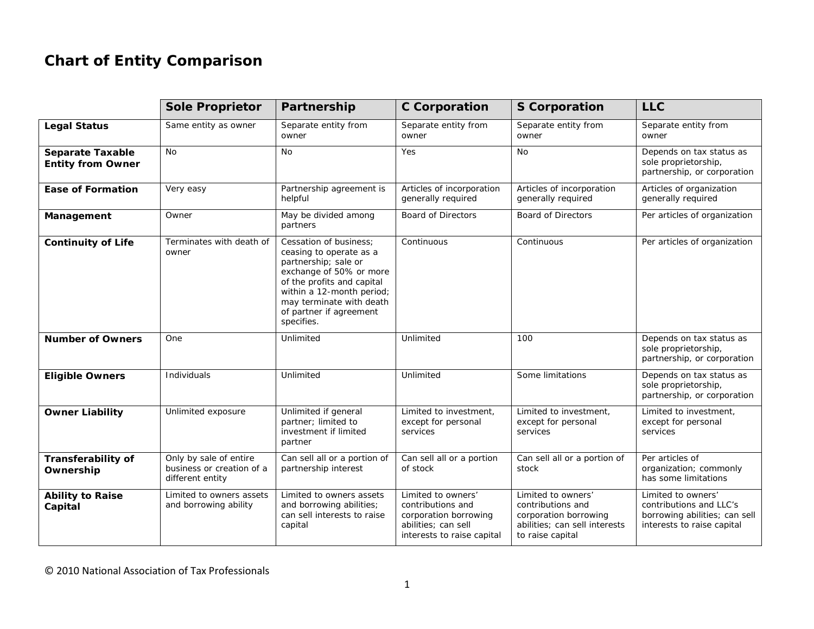## **Chart of Entity Comparison**

|                                                     | <b>Sole Proprietor</b>                                                  | Partnership                                                                                                                                                                                                                          | <b>C</b> Corporation                                                                                                  | <b>S</b> Corporation                                                                                                  | <b>LLC</b>                                                                                                   |
|-----------------------------------------------------|-------------------------------------------------------------------------|--------------------------------------------------------------------------------------------------------------------------------------------------------------------------------------------------------------------------------------|-----------------------------------------------------------------------------------------------------------------------|-----------------------------------------------------------------------------------------------------------------------|--------------------------------------------------------------------------------------------------------------|
| <b>Legal Status</b>                                 | Same entity as owner                                                    | Separate entity from<br>owner                                                                                                                                                                                                        | Separate entity from<br>owner                                                                                         | Separate entity from<br>owner                                                                                         | Separate entity from<br>owner                                                                                |
| <b>Separate Taxable</b><br><b>Entity from Owner</b> | <b>No</b>                                                               | No                                                                                                                                                                                                                                   | Yes                                                                                                                   | <b>No</b>                                                                                                             | Depends on tax status as<br>sole proprietorship,<br>partnership, or corporation                              |
| <b>Ease of Formation</b>                            | Very easy                                                               | Partnership agreement is<br>helpful                                                                                                                                                                                                  | Articles of incorporation<br>generally required                                                                       | Articles of incorporation<br>generally required                                                                       | Articles of organization<br>generally required                                                               |
| Management                                          | Owner                                                                   | May be divided among<br>partners                                                                                                                                                                                                     | <b>Board of Directors</b>                                                                                             | <b>Board of Directors</b>                                                                                             | Per articles of organization                                                                                 |
| <b>Continuity of Life</b>                           | Terminates with death of<br>owner                                       | Cessation of business;<br>ceasing to operate as a<br>partnership; sale or<br>exchange of 50% or more<br>of the profits and capital<br>within a 12-month period;<br>may terminate with death<br>of partner if agreement<br>specifies. | Continuous                                                                                                            | Continuous                                                                                                            | Per articles of organization                                                                                 |
| <b>Number of Owners</b>                             | One                                                                     | Unlimited                                                                                                                                                                                                                            | Unlimited                                                                                                             | 100                                                                                                                   | Depends on tax status as<br>sole proprietorship,<br>partnership, or corporation                              |
| <b>Eligible Owners</b>                              | Individuals                                                             | Unlimited                                                                                                                                                                                                                            | Unlimited                                                                                                             | Some limitations                                                                                                      | Depends on tax status as<br>sole proprietorship,<br>partnership, or corporation                              |
| <b>Owner Liability</b>                              | Unlimited exposure                                                      | Unlimited if general<br>partner; limited to<br>investment if limited<br>partner                                                                                                                                                      | Limited to investment,<br>except for personal<br>services                                                             | Limited to investment,<br>except for personal<br>services                                                             | Limited to investment,<br>except for personal<br>services                                                    |
| Transferability of<br>Ownership                     | Only by sale of entire<br>business or creation of a<br>different entity | Can sell all or a portion of<br>partnership interest                                                                                                                                                                                 | Can sell all or a portion<br>of stock                                                                                 | Can sell all or a portion of<br>stock                                                                                 | Per articles of<br>organization; commonly<br>has some limitations                                            |
| <b>Ability to Raise</b><br>Capital                  | Limited to owners assets<br>and borrowing ability                       | Limited to owners assets<br>and borrowing abilities;<br>can sell interests to raise<br>capital                                                                                                                                       | Limited to owners'<br>contributions and<br>corporation borrowing<br>abilities; can sell<br>interests to raise capital | Limited to owners'<br>contributions and<br>corporation borrowing<br>abilities; can sell interests<br>to raise capital | Limited to owners'<br>contributions and LLC's<br>borrowing abilities; can sell<br>interests to raise capital |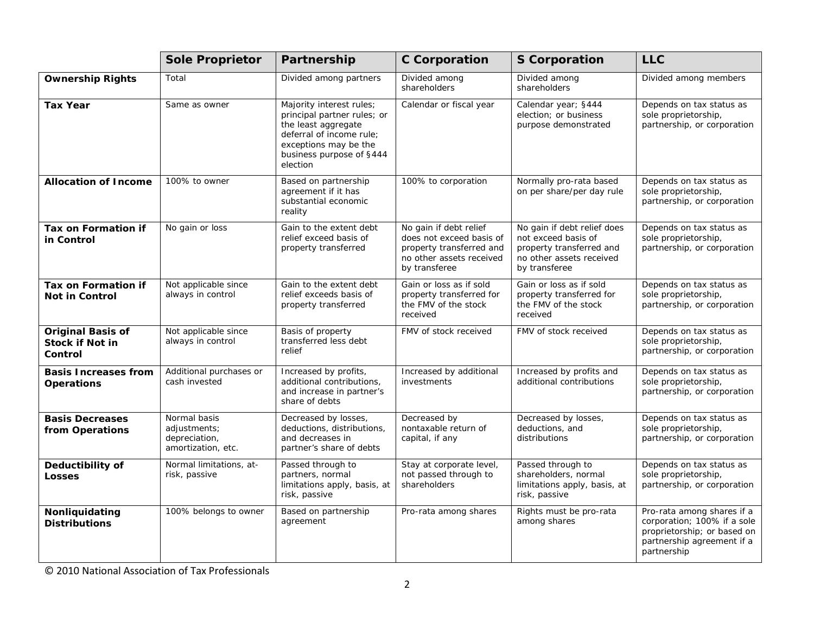|                                                               | <b>Sole Proprietor</b>                                              | Partnership                                                                                                                                                                 | <b>C</b> Corporation                                                                                                        | <b>S</b> Corporation                                                                                                        | <b>LLC</b>                                                                                                                            |
|---------------------------------------------------------------|---------------------------------------------------------------------|-----------------------------------------------------------------------------------------------------------------------------------------------------------------------------|-----------------------------------------------------------------------------------------------------------------------------|-----------------------------------------------------------------------------------------------------------------------------|---------------------------------------------------------------------------------------------------------------------------------------|
| <b>Ownership Rights</b>                                       | Total                                                               | Divided among partners                                                                                                                                                      | Divided among<br>shareholders                                                                                               | Divided among<br>shareholders                                                                                               | Divided among members                                                                                                                 |
| <b>Tax Year</b>                                               | Same as owner                                                       | Majority interest rules;<br>principal partner rules; or<br>the least aggregate<br>deferral of income rule;<br>exceptions may be the<br>business purpose of §444<br>election | Calendar or fiscal year                                                                                                     | Calendar year; §444<br>election; or business<br>purpose demonstrated                                                        | Depends on tax status as<br>sole proprietorship,<br>partnership, or corporation                                                       |
| <b>Allocation of Income</b>                                   | 100% to owner                                                       | Based on partnership<br>agreement if it has<br>substantial economic<br>reality                                                                                              | 100% to corporation                                                                                                         | Normally pro-rata based<br>on per share/per day rule                                                                        | Depends on tax status as<br>sole proprietorship,<br>partnership, or corporation                                                       |
| Tax on Formation if<br>in Control                             | No gain or loss                                                     | Gain to the extent debt<br>relief exceed basis of<br>property transferred                                                                                                   | No gain if debt relief<br>does not exceed basis of<br>property transferred and<br>no other assets received<br>by transferee | No gain if debt relief does<br>not exceed basis of<br>property transferred and<br>no other assets received<br>by transferee | Depends on tax status as<br>sole proprietorship,<br>partnership, or corporation                                                       |
| Tax on Formation if<br><b>Not in Control</b>                  | Not applicable since<br>always in control                           | Gain to the extent debt<br>relief exceeds basis of<br>property transferred                                                                                                  | Gain or loss as if sold<br>property transferred for<br>the FMV of the stock<br>received                                     | Gain or loss as if sold<br>property transferred for<br>the FMV of the stock<br>received                                     | Depends on tax status as<br>sole proprietorship,<br>partnership, or corporation                                                       |
| <b>Original Basis of</b><br><b>Stock if Not in</b><br>Control | Not applicable since<br>always in control                           | Basis of property<br>transferred less debt<br>relief                                                                                                                        | FMV of stock received                                                                                                       | FMV of stock received                                                                                                       | Depends on tax status as<br>sole proprietorship,<br>partnership, or corporation                                                       |
| <b>Basis Increases from</b><br><b>Operations</b>              | Additional purchases or<br>cash invested                            | Increased by profits,<br>additional contributions,<br>and increase in partner's<br>share of debts                                                                           | Increased by additional<br>investments                                                                                      | Increased by profits and<br>additional contributions                                                                        | Depends on tax status as<br>sole proprietorship,<br>partnership, or corporation                                                       |
| <b>Basis Decreases</b><br>from Operations                     | Normal basis<br>adjustments;<br>depreciation,<br>amortization, etc. | Decreased by losses,<br>deductions, distributions,<br>and decreases in<br>partner's share of debts                                                                          | Decreased by<br>nontaxable return of<br>capital, if any                                                                     | Decreased by losses,<br>deductions, and<br>distributions                                                                    | Depends on tax status as<br>sole proprietorship,<br>partnership, or corporation                                                       |
| Deductibility of<br><b>Losses</b>                             | Normal limitations, at-<br>risk, passive                            | Passed through to<br>partners, normal<br>limitations apply, basis, at<br>risk, passive                                                                                      | Stay at corporate level,<br>not passed through to<br>shareholders                                                           | Passed through to<br>shareholders, normal<br>limitations apply, basis, at<br>risk, passive                                  | Depends on tax status as<br>sole proprietorship,<br>partnership, or corporation                                                       |
| Nonliquidating<br><b>Distributions</b>                        | 100% belongs to owner                                               | Based on partnership<br>agreement                                                                                                                                           | Pro-rata among shares                                                                                                       | Rights must be pro-rata<br>among shares                                                                                     | Pro-rata among shares if a<br>corporation; 100% if a sole<br>proprietorship; or based on<br>partnership agreement if a<br>partnership |

© 2010 National Association of Tax Professionals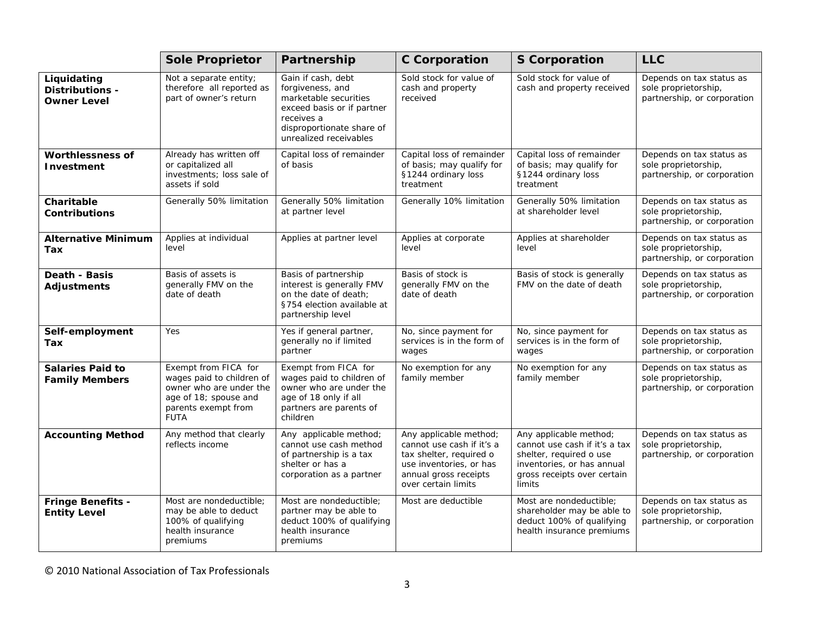|                                                      | <b>Sole Proprietor</b>                                                                                                                      | Partnership                                                                                                                                                        | <b>C</b> Corporation                                                                                                                                      | <b>S</b> Corporation                                                                                                                                      | <b>LLC</b>                                                                      |
|------------------------------------------------------|---------------------------------------------------------------------------------------------------------------------------------------------|--------------------------------------------------------------------------------------------------------------------------------------------------------------------|-----------------------------------------------------------------------------------------------------------------------------------------------------------|-----------------------------------------------------------------------------------------------------------------------------------------------------------|---------------------------------------------------------------------------------|
| Liquidating<br>Distributions -<br><b>Owner Level</b> | Not a separate entity;<br>therefore all reported as<br>part of owner's return                                                               | Gain if cash, debt<br>forgiveness, and<br>marketable securities<br>exceed basis or if partner<br>receives a<br>disproportionate share of<br>unrealized receivables | Sold stock for value of<br>cash and property<br>received                                                                                                  | Sold stock for value of<br>cash and property received                                                                                                     | Depends on tax status as<br>sole proprietorship,<br>partnership, or corporation |
| <b>Worthlessness of</b><br>Investment                | Already has written off<br>or capitalized all<br>investments; loss sale of<br>assets if sold                                                | Capital loss of remainder<br>of basis                                                                                                                              | Capital loss of remainder<br>of basis; may qualify for<br>§1244 ordinary loss<br>treatment                                                                | Capital loss of remainder<br>of basis; may qualify for<br>§1244 ordinary loss<br>treatment                                                                | Depends on tax status as<br>sole proprietorship,<br>partnership, or corporation |
| Charitable<br><b>Contributions</b>                   | Generally 50% limitation                                                                                                                    | Generally 50% limitation<br>at partner level                                                                                                                       | Generally 10% limitation                                                                                                                                  | Generally 50% limitation<br>at shareholder level                                                                                                          | Depends on tax status as<br>sole proprietorship,<br>partnership, or corporation |
| <b>Alternative Minimum</b><br>Tax                    | Applies at individual<br>level                                                                                                              | Applies at partner level                                                                                                                                           | Applies at corporate<br>level                                                                                                                             | Applies at shareholder<br>level                                                                                                                           | Depends on tax status as<br>sole proprietorship,<br>partnership, or corporation |
| Death - Basis<br><b>Adjustments</b>                  | Basis of assets is<br>generally FMV on the<br>date of death                                                                                 | Basis of partnership<br>interest is generally FMV<br>on the date of death:<br>§754 election available at<br>partnership level                                      | Basis of stock is<br>generally FMV on the<br>date of death                                                                                                | Basis of stock is generally<br>FMV on the date of death                                                                                                   | Depends on tax status as<br>sole proprietorship,<br>partnership, or corporation |
| Self-employment<br>Tax                               | Yes                                                                                                                                         | Yes if general partner,<br>generally no if limited<br>partner                                                                                                      | No, since payment for<br>services is in the form of<br>wages                                                                                              | No, since payment for<br>services is in the form of<br>wages                                                                                              | Depends on tax status as<br>sole proprietorship,<br>partnership, or corporation |
| <b>Salaries Paid to</b><br><b>Family Members</b>     | Exempt from FICA for<br>wages paid to children of<br>owner who are under the<br>age of 18; spouse and<br>parents exempt from<br><b>FUTA</b> | Exempt from FICA for<br>wages paid to children of<br>owner who are under the<br>age of 18 only if all<br>partners are parents of<br>children                       | No exemption for any<br>family member                                                                                                                     | No exemption for any<br>family member                                                                                                                     | Depends on tax status as<br>sole proprietorship,<br>partnership, or corporation |
| <b>Accounting Method</b>                             | Any method that clearly<br>reflects income                                                                                                  | Any applicable method;<br>cannot use cash method<br>of partnership is a tax<br>shelter or has a<br>corporation as a partner                                        | Any applicable method;<br>cannot use cash if it's a<br>tax shelter, required o<br>use inventories, or has<br>annual gross receipts<br>over certain limits | Any applicable method;<br>cannot use cash if it's a tax<br>shelter, required o use<br>inventories, or has annual<br>gross receipts over certain<br>limits | Depends on tax status as<br>sole proprietorship,<br>partnership, or corporation |
| <b>Fringe Benefits -</b><br><b>Entity Level</b>      | Most are nondeductible;<br>may be able to deduct<br>100% of qualifying<br>health insurance<br>premiums                                      | Most are nondeductible;<br>partner may be able to<br>deduct 100% of qualifying<br>health insurance<br>premiums                                                     | Most are deductible                                                                                                                                       | Most are nondeductible;<br>shareholder may be able to<br>deduct 100% of qualifying<br>health insurance premiums                                           | Depends on tax status as<br>sole proprietorship,<br>partnership, or corporation |

© 2010 National Association of Tax Professionals